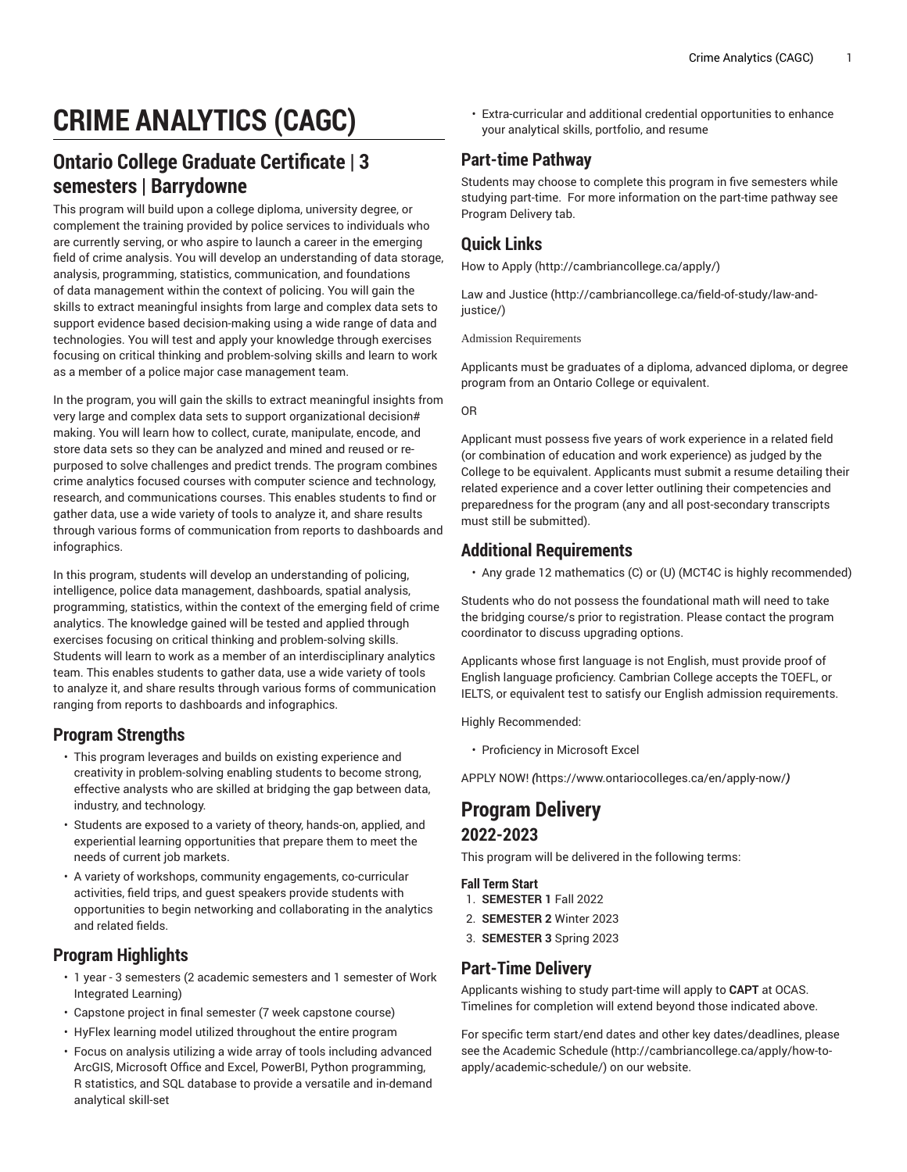# **CRIME ANALYTICS (CAGC)**

## **Ontario College Graduate Certificate | 3 semesters | Barrydowne**

This program will build upon a college diploma, university degree, or complement the training provided by police services to individuals who are currently serving, or who aspire to launch a career in the emerging field of crime analysis. You will develop an understanding of data storage, analysis, programming, statistics, communication, and foundations of data management within the context of policing. You will gain the skills to extract meaningful insights from large and complex data sets to support evidence based decision-making using a wide range of data and technologies. You will test and apply your knowledge through exercises focusing on critical thinking and problem-solving skills and learn to work as a member of a police major case management team.

In the program, you will gain the skills to extract meaningful insights from very large and complex data sets to support organizational decision# making. You will learn how to collect, curate, manipulate, encode, and store data sets so they can be analyzed and mined and reused or repurposed to solve challenges and predict trends. The program combines crime analytics focused courses with computer science and technology, research, and communications courses. This enables students to find or gather data, use a wide variety of tools to analyze it, and share results through various forms of communication from reports to dashboards and infographics.

In this program, students will develop an understanding of policing, intelligence, police data management, dashboards, spatial analysis, programming, statistics, within the context of the emerging field of crime analytics. The knowledge gained will be tested and applied through exercises focusing on critical thinking and problem-solving skills. Students will learn to work as a member of an interdisciplinary analytics team. This enables students to gather data, use a wide variety of tools to analyze it, and share results through various forms of communication ranging from reports to dashboards and infographics.

### **Program Strengths**

- This program leverages and builds on existing experience and creativity in problem-solving enabling students to become strong, effective analysts who are skilled at bridging the gap between data, industry, and technology.
- Students are exposed to a variety of theory, hands-on, applied, and experiential learning opportunities that prepare them to meet the needs of current job markets.
- A variety of workshops, community engagements, co-curricular activities, field trips, and guest speakers provide students with opportunities to begin networking and collaborating in the analytics and related fields.

### **Program Highlights**

- 1 year 3 semesters (2 academic semesters and 1 semester of Work Integrated Learning)
- Capstone project in final semester (7 week capstone course)
- HyFlex learning model utilized throughout the entire program
- Focus on analysis utilizing a wide array of tools including advanced ArcGIS, Microsoft Office and Excel, PowerBI, Python programming, R statistics, and SQL database to provide a versatile and in-demand analytical skill-set

• Extra-curricular and additional credential opportunities to enhance your analytical skills, portfolio, and resume

### **Part-time Pathway**

Students may choose to complete this program in five semesters while studying part-time. For more information on the part-time pathway see Program Delivery tab.

#### **Quick Links**

[How to Apply](http://cambriancollege.ca/apply/) ([http://cambriancollege.ca/apply/\)](http://cambriancollege.ca/apply/)

[Law and Justice](http://cambriancollege.ca/field-of-study/law-and-justice/) ([http://cambriancollege.ca/field-of-study/law-and](http://cambriancollege.ca/field-of-study/law-and-justice/)[justice/\)](http://cambriancollege.ca/field-of-study/law-and-justice/)

Admission Requirements

Applicants must be graduates of a diploma, advanced diploma, or degree program from an Ontario College or equivalent.

OR

Applicant must possess five years of work experience in a related field (or combination of education and work experience) as judged by the College to be equivalent. Applicants must submit a resume detailing their related experience and a cover letter outlining their competencies and preparedness for the program (any and all post-secondary transcripts must still be submitted).

#### **Additional Requirements**

• Any grade 12 mathematics (C) or (U) (MCT4C is highly recommended)

Students who do not possess the foundational math will need to take the bridging course/s prior to registration. Please contact the program coordinator to discuss upgrading options.

Applicants whose first language is not English, must provide proof of English language proficiency. Cambrian College accepts the TOEFL, or IELTS, or equivalent test to satisfy our English admission requirements.

Highly Recommended:

• Proficiency in Microsoft Excel

[APPLY](https://www.ontariocolleges.ca/en/apply-now/) NOW! *(*<https://www.ontariocolleges.ca/en/apply-now/>*)*

### **Program Delivery 2022-2023**

This program will be delivered in the following terms:

**Fall Term Start**

- 1. **SEMESTER 1** Fall 2022
- 2. **SEMESTER 2** Winter 2023
- 3. **SEMESTER 3** Spring 2023

### **Part-Time Delivery**

Applicants wishing to study part-time will apply to **CAPT** at OCAS. Timelines for completion will extend beyond those indicated above.

For specific term start/end dates and other key dates/deadlines, please see the [Academic Schedule \(http://cambriancollege.ca/apply/how-to](http://cambriancollege.ca/apply/how-to-apply/academic-schedule/)[apply/academic-schedule/](http://cambriancollege.ca/apply/how-to-apply/academic-schedule/)) on our website.